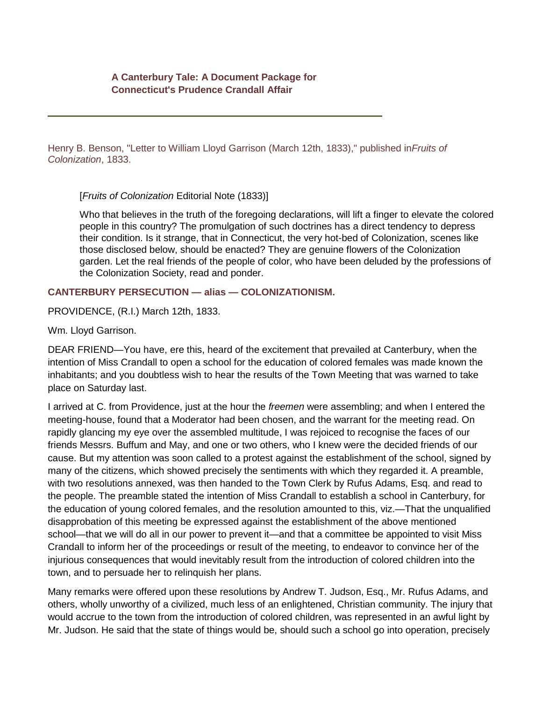Henry B. Benson, "Letter to William Lloyd Garrison (March 12th, 1833)," published in*Fruits of Colonization*, 1833.

[*Fruits of Colonization* Editorial Note (1833)]

Who that believes in the truth of the foregoing declarations, will lift a finger to elevate the colored people in this country? The promulgation of such doctrines has a direct tendency to depress their condition. Is it strange, that in Connecticut, the very hot-bed of Colonization, scenes like those disclosed below, should be enacted? They are genuine flowers of the Colonization garden. Let the real friends of the people of color, who have been deluded by the professions of the Colonization Society, read and ponder.

## **CANTERBURY PERSECUTION — alias — COLONIZATIONISM.**

PROVIDENCE, (R.I.) March 12th, 1833.

Wm. Lloyd Garrison.

DEAR FRIEND—You have, ere this, heard of the excitement that prevailed at Canterbury, when the intention of Miss Crandall to open a school for the education of colored females was made known the inhabitants; and you doubtless wish to hear the results of the Town Meeting that was warned to take place on Saturday last.

I arrived at C. from Providence, just at the hour the *freemen* were assembling; and when I entered the meeting-house, found that a Moderator had been chosen, and the warrant for the meeting read. On rapidly glancing my eye over the assembled multitude, I was rejoiced to recognise the faces of our friends Messrs. Buffum and May, and one or two others, who I knew were the decided friends of our cause. But my attention was soon called to a protest against the establishment of the school, signed by many of the citizens, which showed precisely the sentiments with which they regarded it. A preamble, with two resolutions annexed, was then handed to the Town Clerk by Rufus Adams, Esq. and read to the people. The preamble stated the intention of Miss Crandall to establish a school in Canterbury, for the education of young colored females, and the resolution amounted to this, viz.—That the unqualified disapprobation of this meeting be expressed against the establishment of the above mentioned school—that we will do all in our power to prevent it—and that a committee be appointed to visit Miss Crandall to inform her of the proceedings or result of the meeting, to endeavor to convince her of the injurious consequences that would inevitably result from the introduction of colored children into the town, and to persuade her to relinquish her plans.

Many remarks were offered upon these resolutions by Andrew T. Judson, Esq., Mr. Rufus Adams, and others, wholly unworthy of a civilized, much less of an enlightened, Christian community. The injury that would accrue to the town from the introduction of colored children, was represented in an awful light by Mr. Judson. He said that the state of things would be, should such a school go into operation, precisely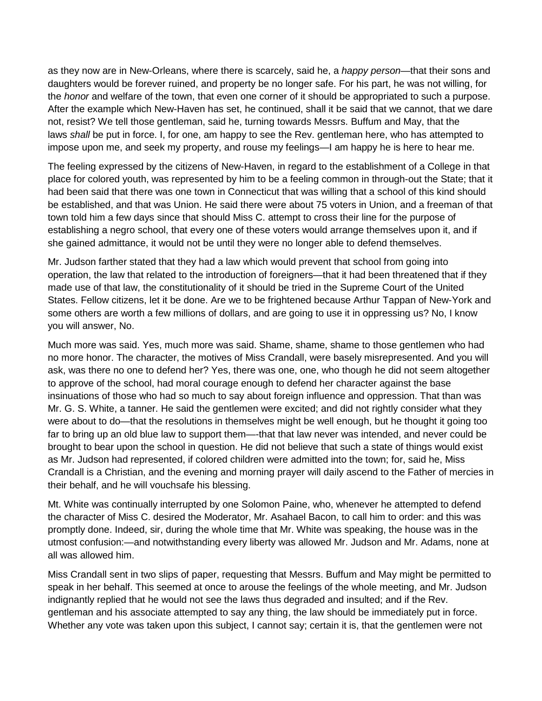as they now are in New-Orleans, where there is scarcely, said he, a *happy person*—that their sons and daughters would be forever ruined, and property be no longer safe. For his part, he was not willing, for the *honor* and welfare of the town, that even one corner of it should be appropriated to such a purpose. After the example which New-Haven has set, he continued, shall it be said that we cannot, that we dare not, resist? We tell those gentleman, said he, turning towards Messrs. Buffum and May, that the laws *shall* be put in force. I, for one, am happy to see the Rev. gentleman here, who has attempted to impose upon me, and seek my property, and rouse my feelings—I am happy he is here to hear me.

The feeling expressed by the citizens of New-Haven, in regard to the establishment of a College in that place for colored youth, was represented by him to be a feeling common in through-out the State; that it had been said that there was one town in Connecticut that was willing that a school of this kind should be established, and that was Union. He said there were about 75 voters in Union, and a freeman of that town told him a few days since that should Miss C. attempt to cross their line for the purpose of establishing a negro school, that every one of these voters would arrange themselves upon it, and if she gained admittance, it would not be until they were no longer able to defend themselves.

Mr. Judson farther stated that they had a law which would prevent that school from going into operation, the law that related to the introduction of foreigners—that it had been threatened that if they made use of that law, the constitutionality of it should be tried in the Supreme Court of the United States. Fellow citizens, let it be done. Are we to be frightened because Arthur Tappan of New-York and some others are worth a few millions of dollars, and are going to use it in oppressing us? No, I know you will answer, No.

Much more was said. Yes, much more was said. Shame, shame, shame to those gentlemen who had no more honor. The character, the motives of Miss Crandall, were basely misrepresented. And you will ask, was there no one to defend her? Yes, there was one, one, who though he did not seem altogether to approve of the school, had moral courage enough to defend her character against the base insinuations of those who had so much to say about foreign influence and oppression. That than was Mr. G. S. White, a tanner. He said the gentlemen were excited; and did not rightly consider what they were about to do—that the resolutions in themselves might be well enough, but he thought it going too far to bring up an old blue law to support them—-that that law never was intended, and never could be brought to bear upon the school in question. He did not believe that such a state of things would exist as Mr. Judson had represented, if colored children were admitted into the town; for, said he, Miss Crandall is a Christian, and the evening and morning prayer will daily ascend to the Father of mercies in their behalf, and he will vouchsafe his blessing.

Mt. White was continually interrupted by one Solomon Paine, who, whenever he attempted to defend the character of Miss C. desired the Moderator, Mr. Asahael Bacon, to call him to order: and this was promptly done. Indeed, sir, during the whole time that Mr. White was speaking, the house was in the utmost confusion:—and notwithstanding every liberty was allowed Mr. Judson and Mr. Adams, none at all was allowed him.

Miss Crandall sent in two slips of paper, requesting that Messrs. Buffum and May might be permitted to speak in her behalf. This seemed at once to arouse the feelings of the whole meeting, and Mr. Judson indignantly replied that he would not see the laws thus degraded and insulted; and if the Rev. gentleman and his associate attempted to say any thing, the law should be immediately put in force. Whether any vote was taken upon this subject, I cannot say; certain it is, that the gentlemen were not